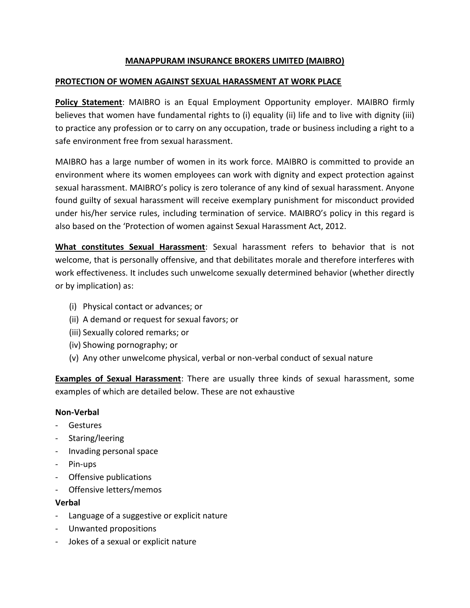## **MANAPPURAM INSURANCE BROKERS LIMITED (MAIBRO)**

### **PROTECTION OF WOMEN AGAINST SEXUAL HARASSMENT AT WORK PLACE**

**Policy Statement**: MAIBRO is an Equal Employment Opportunity employer. MAIBRO firmly believes that women have fundamental rights to (i) equality (ii) life and to live with dignity (iii) to practice any profession or to carry on any occupation, trade or business including a right to a safe environment free from sexual harassment.

MAIBRO has a large number of women in its work force. MAIBRO is committed to provide an environment where its women employees can work with dignity and expect protection against sexual harassment. MAIBRO's policy is zero tolerance of any kind of sexual harassment. Anyone found guilty of sexual harassment will receive exemplary punishment for misconduct provided under his/her service rules, including termination of service. MAIBRO's policy in this regard is also based on the 'Protection of women against Sexual Harassment Act, 2012.

**What constitutes Sexual Harassment**: Sexual harassment refers to behavior that is not welcome, that is personally offensive, and that debilitates morale and therefore interferes with work effectiveness. It includes such unwelcome sexually determined behavior (whether directly or by implication) as:

- (i) Physical contact or advances; or
- (ii) A demand or request for sexual favors; or
- (iii) Sexually colored remarks; or
- (iv) Showing pornography; or
- (v) Any other unwelcome physical, verbal or non-verbal conduct of sexual nature

**Examples of Sexual Harassment**: There are usually three kinds of sexual harassment, some examples of which are detailed below. These are not exhaustive

#### **Non-Verbal**

- **Gestures**
- Staring/leering
- Invading personal space
- Pin-ups
- Offensive publications
- Offensive letters/memos

# **Verbal**

- Language of a suggestive or explicit nature
- Unwanted propositions
- Jokes of a sexual or explicit nature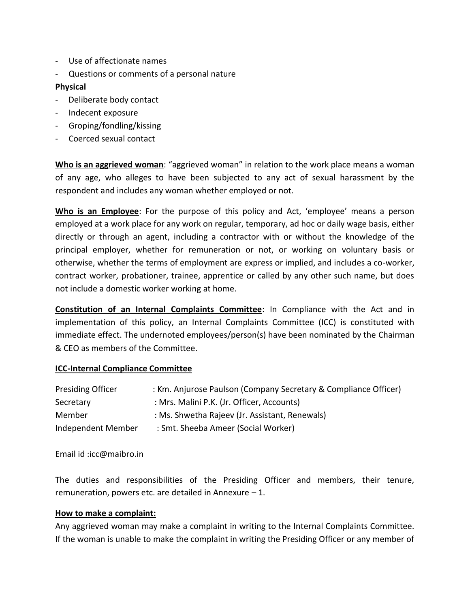- Use of affectionate names
- Questions or comments of a personal nature

#### **Physical**

- Deliberate body contact
- Indecent exposure
- Groping/fondling/kissing
- Coerced sexual contact

**Who is an aggrieved woman**: "aggrieved woman" in relation to the work place means a woman of any age, who alleges to have been subjected to any act of sexual harassment by the respondent and includes any woman whether employed or not.

**Who is an Employee**: For the purpose of this policy and Act, 'employee' means a person employed at a work place for any work on regular, temporary, ad hoc or daily wage basis, either directly or through an agent, including a contractor with or without the knowledge of the principal employer, whether for remuneration or not, or working on voluntary basis or otherwise, whether the terms of employment are express or implied, and includes a co-worker, contract worker, probationer, trainee, apprentice or called by any other such name, but does not include a domestic worker working at home.

**Constitution of an Internal Complaints Committee**: In Compliance with the Act and in implementation of this policy, an Internal Complaints Committee (ICC) is constituted with immediate effect. The undernoted employees/person(s) have been nominated by the Chairman & CEO as members of the Committee.

#### **ICC-Internal Compliance Committee**

| <b>Presiding Officer</b> | : Km. Anjurose Paulson (Company Secretary & Compliance Officer) |
|--------------------------|-----------------------------------------------------------------|
| Secretary                | : Mrs. Malini P.K. (Jr. Officer, Accounts)                      |
| Member                   | : Ms. Shwetha Rajeev (Jr. Assistant, Renewals)                  |
| Independent Member       | : Smt. Sheeba Ameer (Social Worker)                             |

Email id :icc@maibro.in

The duties and responsibilities of the Presiding Officer and members, their tenure, remuneration, powers etc. are detailed in Annexure – 1.

#### **How to make a complaint:**

Any aggrieved woman may make a complaint in writing to the Internal Complaints Committee. If the woman is unable to make the complaint in writing the Presiding Officer or any member of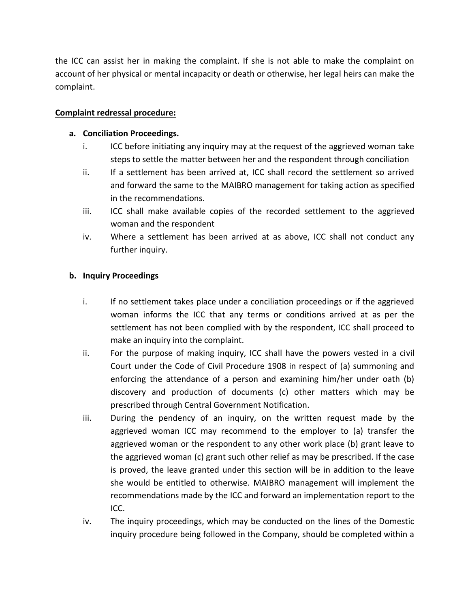the ICC can assist her in making the complaint. If she is not able to make the complaint on account of her physical or mental incapacity or death or otherwise, her legal heirs can make the complaint.

## **Complaint redressal procedure:**

### **a. Conciliation Proceedings.**

- i. ICC before initiating any inquiry may at the request of the aggrieved woman take steps to settle the matter between her and the respondent through conciliation
- ii. If a settlement has been arrived at, ICC shall record the settlement so arrived and forward the same to the MAIBRO management for taking action as specified in the recommendations.
- iii. ICC shall make available copies of the recorded settlement to the aggrieved woman and the respondent
- iv. Where a settlement has been arrived at as above, ICC shall not conduct any further inquiry.

# **b. Inquiry Proceedings**

- i. If no settlement takes place under a conciliation proceedings or if the aggrieved woman informs the ICC that any terms or conditions arrived at as per the settlement has not been complied with by the respondent, ICC shall proceed to make an inquiry into the complaint.
- ii. For the purpose of making inquiry, ICC shall have the powers vested in a civil Court under the Code of Civil Procedure 1908 in respect of (a) summoning and enforcing the attendance of a person and examining him/her under oath (b) discovery and production of documents (c) other matters which may be prescribed through Central Government Notification.
- iii. During the pendency of an inquiry, on the written request made by the aggrieved woman ICC may recommend to the employer to (a) transfer the aggrieved woman or the respondent to any other work place (b) grant leave to the aggrieved woman (c) grant such other relief as may be prescribed. If the case is proved, the leave granted under this section will be in addition to the leave she would be entitled to otherwise. MAIBRO management will implement the recommendations made by the ICC and forward an implementation report to the ICC.
- iv. The inquiry proceedings, which may be conducted on the lines of the Domestic inquiry procedure being followed in the Company, should be completed within a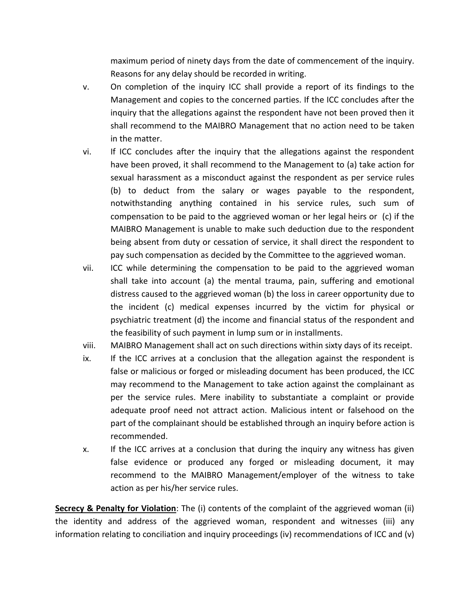maximum period of ninety days from the date of commencement of the inquiry. Reasons for any delay should be recorded in writing.

- v. On completion of the inquiry ICC shall provide a report of its findings to the Management and copies to the concerned parties. If the ICC concludes after the inquiry that the allegations against the respondent have not been proved then it shall recommend to the MAIBRO Management that no action need to be taken in the matter.
- vi. If ICC concludes after the inquiry that the allegations against the respondent have been proved, it shall recommend to the Management to (a) take action for sexual harassment as a misconduct against the respondent as per service rules (b) to deduct from the salary or wages payable to the respondent, notwithstanding anything contained in his service rules, such sum of compensation to be paid to the aggrieved woman or her legal heirs or (c) if the MAIBRO Management is unable to make such deduction due to the respondent being absent from duty or cessation of service, it shall direct the respondent to pay such compensation as decided by the Committee to the aggrieved woman.
- vii. ICC while determining the compensation to be paid to the aggrieved woman shall take into account (a) the mental trauma, pain, suffering and emotional distress caused to the aggrieved woman (b) the loss in career opportunity due to the incident (c) medical expenses incurred by the victim for physical or psychiatric treatment (d) the income and financial status of the respondent and the feasibility of such payment in lump sum or in installments.
- viii. MAIBRO Management shall act on such directions within sixty days of its receipt.
- ix. If the ICC arrives at a conclusion that the allegation against the respondent is false or malicious or forged or misleading document has been produced, the ICC may recommend to the Management to take action against the complainant as per the service rules. Mere inability to substantiate a complaint or provide adequate proof need not attract action. Malicious intent or falsehood on the part of the complainant should be established through an inquiry before action is recommended.
- x. If the ICC arrives at a conclusion that during the inquiry any witness has given false evidence or produced any forged or misleading document, it may recommend to the MAIBRO Management/employer of the witness to take action as per his/her service rules.

**Secrecy & Penalty for Violation**: The (i) contents of the complaint of the aggrieved woman (ii) the identity and address of the aggrieved woman, respondent and witnesses (iii) any information relating to conciliation and inquiry proceedings (iv) recommendations of ICC and (v)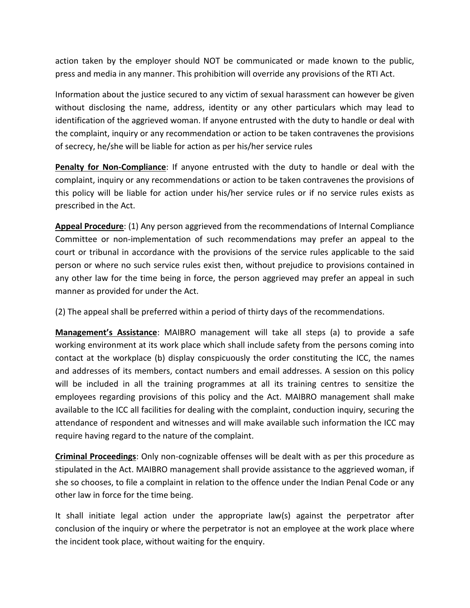action taken by the employer should NOT be communicated or made known to the public, press and media in any manner. This prohibition will override any provisions of the RTI Act.

Information about the justice secured to any victim of sexual harassment can however be given without disclosing the name, address, identity or any other particulars which may lead to identification of the aggrieved woman. If anyone entrusted with the duty to handle or deal with the complaint, inquiry or any recommendation or action to be taken contravenes the provisions of secrecy, he/she will be liable for action as per his/her service rules

**Penalty for Non-Compliance**: If anyone entrusted with the duty to handle or deal with the complaint, inquiry or any recommendations or action to be taken contravenes the provisions of this policy will be liable for action under his/her service rules or if no service rules exists as prescribed in the Act.

**Appeal Procedure**: (1) Any person aggrieved from the recommendations of Internal Compliance Committee or non-implementation of such recommendations may prefer an appeal to the court or tribunal in accordance with the provisions of the service rules applicable to the said person or where no such service rules exist then, without prejudice to provisions contained in any other law for the time being in force, the person aggrieved may prefer an appeal in such manner as provided for under the Act.

(2) The appeal shall be preferred within a period of thirty days of the recommendations.

**Management's Assistance**: MAIBRO management will take all steps (a) to provide a safe working environment at its work place which shall include safety from the persons coming into contact at the workplace (b) display conspicuously the order constituting the ICC, the names and addresses of its members, contact numbers and email addresses. A session on this policy will be included in all the training programmes at all its training centres to sensitize the employees regarding provisions of this policy and the Act. MAIBRO management shall make available to the ICC all facilities for dealing with the complaint, conduction inquiry, securing the attendance of respondent and witnesses and will make available such information the ICC may require having regard to the nature of the complaint.

**Criminal Proceedings**: Only non-cognizable offenses will be dealt with as per this procedure as stipulated in the Act. MAIBRO management shall provide assistance to the aggrieved woman, if she so chooses, to file a complaint in relation to the offence under the Indian Penal Code or any other law in force for the time being.

It shall initiate legal action under the appropriate law(s) against the perpetrator after conclusion of the inquiry or where the perpetrator is not an employee at the work place where the incident took place, without waiting for the enquiry.